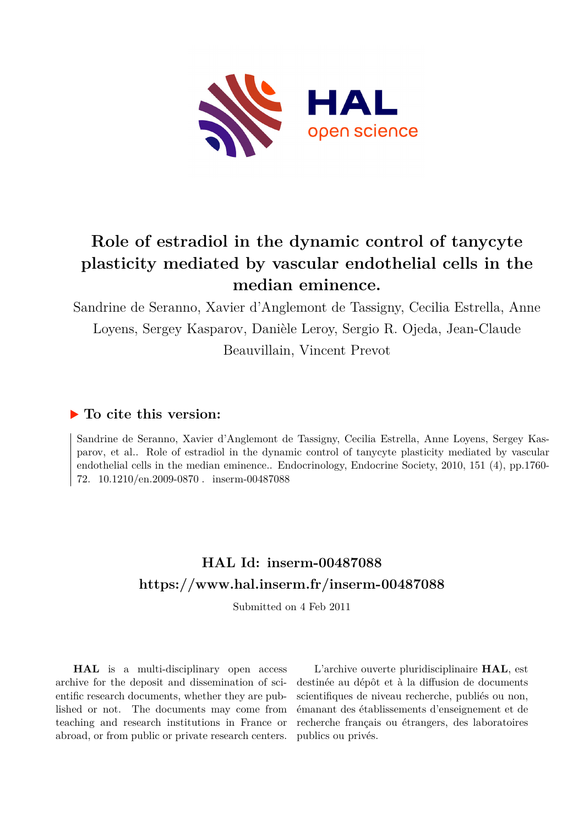

# **Role of estradiol in the dynamic control of tanycyte plasticity mediated by vascular endothelial cells in the median eminence.**

Sandrine de Seranno, Xavier d'Anglemont de Tassigny, Cecilia Estrella, Anne Loyens, Sergey Kasparov, Danièle Leroy, Sergio R. Ojeda, Jean-Claude Beauvillain, Vincent Prevot

## **To cite this version:**

Sandrine de Seranno, Xavier d'Anglemont de Tassigny, Cecilia Estrella, Anne Loyens, Sergey Kasparov, et al.. Role of estradiol in the dynamic control of tanycyte plasticity mediated by vascular endothelial cells in the median eminence.. Endocrinology, Endocrine Society, 2010, 151 (4), pp.1760- 72. 10.1210/en.2009-0870. inserm-00487088

# **HAL Id: inserm-00487088 <https://www.hal.inserm.fr/inserm-00487088>**

Submitted on 4 Feb 2011

**HAL** is a multi-disciplinary open access archive for the deposit and dissemination of scientific research documents, whether they are published or not. The documents may come from teaching and research institutions in France or abroad, or from public or private research centers.

L'archive ouverte pluridisciplinaire **HAL**, est destinée au dépôt et à la diffusion de documents scientifiques de niveau recherche, publiés ou non, émanant des établissements d'enseignement et de recherche français ou étrangers, des laboratoires publics ou privés.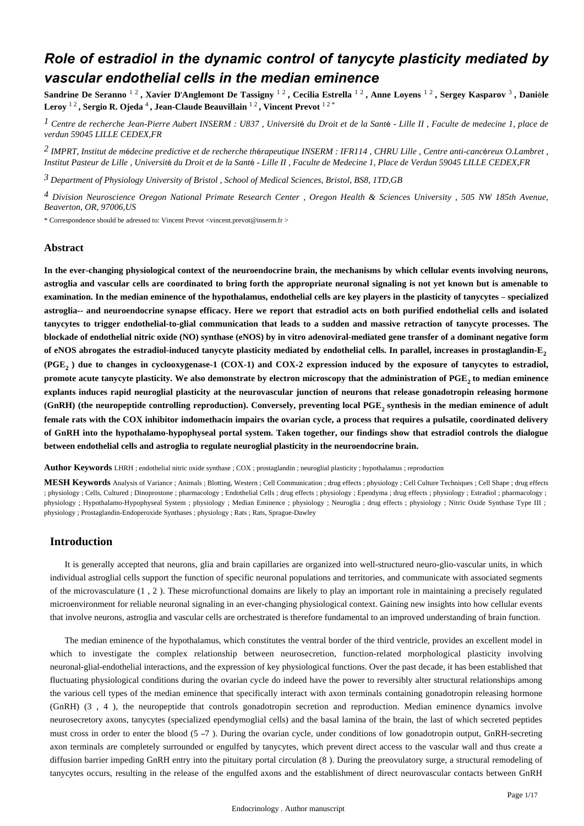## *Role of estradiol in the dynamic control of tanycyte plasticity mediated by vascular endothelial cells in the median eminence*

**Sandrine De Seranno** 1 2 **, Xavier D Anglemont De Tassigny** ' 1 2 **, Cecilia Estrella** 1 2 **, Anne Loyens** 1 2 **, Sergey Kasparov** 3 **, Dani le** è **Leroy** 1 2 **, Sergio R. Ojeda** 4 **, Jean-Claude Beauvillain** 1 2 **, Vincent Prevot** 1 2 \*

<sup>1</sup> Centre de recherche Jean-Pierre Aubert INSERM : U837, Université du Droit et de la Santé - Lille II, Faculte de medecine 1, place de *verdun 59045 LILLE CEDEX,FR*

<sup>2</sup> IMPRT, Institut de médecine predictive et de recherche thérapeutique INSERM : IFR114 , CHRU Lille , Centre anti-cancéreux O. Lambret , Institut Pasteur de Lille, Université du Droit et de la Santé - Lille II, Faculte de Medecine 1, Place de Verdun 59045 LILLE CEDEX,FR

*Department of Physiology 3 University of Bristol , School of Medical Sciences, Bristol, BS8, 1TD,GB*

<sup>4</sup> Division Neuroscience Oregon National Primate Research Center, Oregon Health & Sciences University, 505 NW 185th Avenue, *Beaverton, OR, 97006,US*

\* Correspondence should be adressed to: Vincent Prevot <vincent.prevot@inserm.fr >

## **Abstract**

**In the ever-changing physiological context of the neuroendocrine brain, the mechanisms by which cellular events involving neurons, astroglia and vascular cells are coordinated to bring forth the appropriate neuronal signaling is not yet known but is amenable to** examination. In the median eminence of the hypothalamus, endothelial cells are key players in the plasticity of tanycytes – specialized **astroglia-- and neuroendocrine synapse efficacy. Here we report that estradiol acts on both purified endothelial cells and isolated tanycytes to trigger endothelial-to-glial communication that leads to a sudden and massive retraction of tanycyte processes. The blockade of endothelial nitric oxide (NO) synthase (eNOS) by in vitro adenoviral-mediated gene transfer of a dominant negative form of eNOS abrogates the estradiol-induced tanycyte plasticity mediated by endothelial cells. In parallel, increases in prostaglandin-E<sup>2</sup> (PGE ) due to changes in cyclooxygenase-1 (COX-1) and COX-2 expression induced by the exposure of tanycytes to estradiol, <sup>2</sup>** promote acute tanycyte plasticity. We also demonstrate by electron microscopy that the administration of PGE, to median eminence **explants induces rapid neuroglial plasticity at the neurovascular junction of neurons that release gonadotropin releasing hormone** (GnRH) (the neuropeptide controlling reproduction). Conversely, preventing local PGE, synthesis in the median eminence of adult **female rats with the COX inhibitor indomethacin impairs the ovarian cycle, a process that requires a pulsatile, coordinated delivery of GnRH into the hypothalamo-hypophyseal portal system. Taken together, our findings show that estradiol controls the dialogue between endothelial cells and astroglia to regulate neuroglial plasticity in the neuroendocrine brain.**

**Author Keywords** LHRH ; endothelial nitric oxide synthase ; COX ; prostaglandin ; neuroglial plasticity ; hypothalamus ; reproduction

**MESH Keywords** Analysis of Variance ; Animals ; Blotting, Western ; Cell Communication ; drug effects ; physiology ; Cell Culture Techniques ; Cell Shape ; drug effects ; physiology ; Cells, Cultured ; Dinoprostone ; pharmacology ; Endothelial Cells ; drug effects ; physiology ; Ependyma ; drug effects ; physiology ; Estradiol ; pharmacology ; physiology ; Hypothalamo-Hypophyseal System ; physiology ; Median Eminence ; physiology ; Neuroglia ; drug effects ; physiology ; Nitric Oxide Synthase Type III ; physiology ; Prostaglandin-Endoperoxide Synthases ; physiology ; Rats ; Rats, Sprague-Dawley

## **Introduction**

It is generally accepted that neurons, glia and brain capillaries are organized into well-structured neuro-glio-vascular units, in which individual astroglial cells support the function of specific neuronal populations and territories, and communicate with associated segments of the microvasculature  $(1, 2)$ . These microfunctional domains are likely to play an important role in maintaining a precisely regulated microenvironment for reliable neuronal signaling in an ever-changing physiological context. Gaining new insights into how cellular events that involve neurons, astroglia and vascular cells are orchestrated is therefore fundamental to an improved understanding of brain function.

The median eminence of the hypothalamus, which constitutes the ventral border of the third ventricle, provides an excellent model in which to investigate the complex relationship between neurosecretion, function-related morphological plasticity involving neuronal-glial-endothelial interactions, and the expression of key physiological functions. Over the past decade, it has been established that fluctuating physiological conditions during the ovarian cycle do indeed have the power to reversibly alter structural relationships among the various cell types of the median eminence that specifically interact with axon terminals containing gonadotropin releasing hormone (GnRH) (3, 4), the neuropeptide that controls gonadotropin secretion and reproduction. Median eminence dynamics involve neurosecretory axons, tanycytes (specialized ependymoglial cells) and the basal lamina of the brain, the last of which secreted peptides must cross in order to enter the blood  $(5 - 7)$ . During the ovarian cycle, under conditions of low gonadotropin output, GnRH-secreting axon terminals are completely surrounded or engulfed by tanycytes, which prevent direct access to the vascular wall and thus create a diffusion barrier impeding GnRH entry into the pituitary portal circulation (8). During the preovulatory surge, a structural remodeling of tanycytes occurs, resulting in the release of the engulfed axons and the establishment of direct neurovascular contacts between GnRH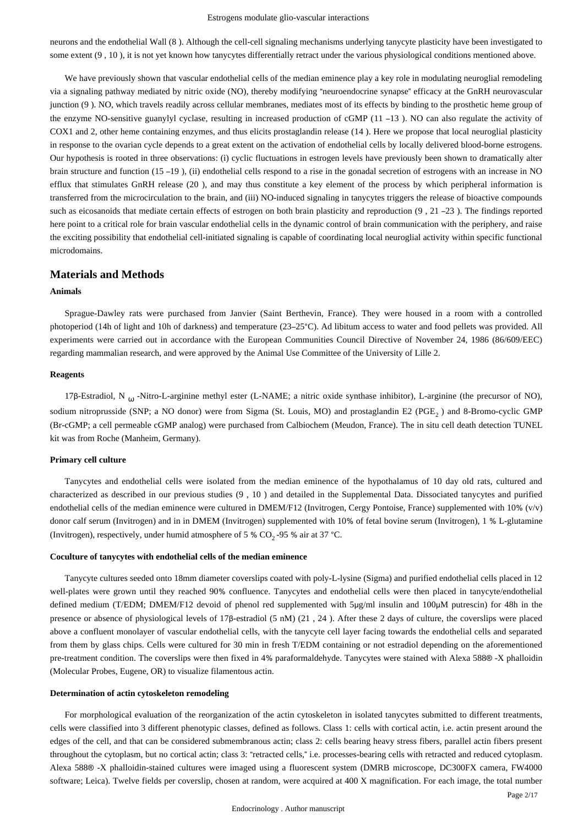neurons and the endothelial Wall (8). Although the cell-cell signaling mechanisms underlying tanycyte plasticity have been investigated to some extent  $(9, 10)$ , it is not yet known how tanycytes differentially retract under the various physiological conditions mentioned above.

We have previously shown that vascular endothelial cells of the median eminence play a key role in modulating neuroglial remodeling via a signaling pathway mediated by nitric oxide (NO), thereby modifying "neuroendocrine synapse" efficacy at the GnRH neurovascular junction (9). NO, which travels readily across cellular membranes, mediates most of its effects by binding to the prosthetic heme group of the enzyme NO-sensitive guanylyl cyclase, resulting in increased production of cGMP  $(11 - 13)$ . NO can also regulate the activity of COX1 and 2, other heme containing enzymes, and thus elicits prostaglandin release (14). Here we propose that local neuroglial plasticity in response to the ovarian cycle depends to a great extent on the activation of endothelial cells by locally delivered blood-borne estrogens. Our hypothesis is rooted in three observations: (i) cyclic fluctuations in estrogen levels have previously been shown to dramatically alter brain structure and function (15 –19), (ii) endothelial cells respond to a rise in the gonadal secretion of estrogens with an increase in NO efflux that stimulates GnRH release (20), and may thus constitute a key element of the process by which peripheral information is transferred from the microcirculation to the brain, and (iii) NO-induced signaling in tanycytes triggers the release of bioactive compounds such as eicosanoids that mediate certain effects of estrogen on both brain plasticity and reproduction  $(9, 21 -23)$ . The findings reported here point to a critical role for brain vascular endothelial cells in the dynamic control of brain communication with the periphery, and raise the exciting possibility that endothelial cell-initiated signaling is capable of coordinating local neuroglial activity within specific functional microdomains.

## **Materials and Methods**

#### **Animals**

Sprague-Dawley rats were purchased from Janvier (Saint Berthevin, France). They were housed in a room with a controlled photoperiod (14h of light and 10h of darkness) and temperature (23–25 $^{\circ}$ C). Ad libitum access to water and food pellets was provided. All experiments were carried out in accordance with the European Communities Council Directive of November 24, 1986 (86/609/EEC) regarding mammalian research, and were approved by the Animal Use Committee of the University of Lille 2.

#### **Reagents**

17β-Estradiol, N<sub>ω</sub>-Nitro-L-arginine methyl ester (L-NAME; a nitric oxide synthase inhibitor), L-arginine (the precursor of NO), sodium nitroprusside (SNP; a NO donor) were from Sigma (St. Louis, MO) and prostaglandin E2 (PGE, ) and 8-Bromo-cyclic GMP (Br-cGMP; a cell permeable cGMP analog) were purchased from Calbiochem (Meudon, France). The in situ cell death detection TUNEL kit was from Roche (Manheim, Germany).

#### **Primary cell culture**

Tanycytes and endothelial cells were isolated from the median eminence of the hypothalamus of 10 day old rats, cultured and characterized as described in our previous studies (9, 10) and detailed in the Supplemental Data. Dissociated tanycytes and purified endothelial cells of the median eminence were cultured in DMEM/F12 (Invitrogen, Cergy Pontoise, France) supplemented with 10% (v/v) donor calf serum (Invitrogen) and in in DMEM (Invitrogen) supplemented with 10% of fetal bovine serum (Invitrogen), 1 % L-glutamine (Invitrogen), respectively, under humid atmosphere of 5 %  $CO_2$ -95 % air at 37 °C.

## **Coculture of tanycytes with endothelial cells of the median eminence**

Tanycyte cultures seeded onto 18mm diameter coverslips coated with poly-L-lysine (Sigma) and purified endothelial cells placed in 12 well-plates were grown until they reached 90% confluence. Tanycytes and endothelial cells were then placed in tanycyte/endothelial defined medium (T/EDM; DMEM/F12 devoid of phenol red supplemented with 5μg/ml insulin and 100μM putrescin) for 48h in the presence or absence of physiological levels of 17 $\beta$ -estradiol (5 nM) (21, 24). After these 2 days of culture, the coverslips were placed above a confluent monolayer of vascular endothelial cells, with the tanycyte cell layer facing towards the endothelial cells and separated from them by glass chips. Cells were cultured for 30 min in fresh T/EDM containing or not estradiol depending on the aforementioned pre-treatment condition. The coverslips were then fixed in 4% paraformaldehyde. Tanycytes were stained with Alexa 588® -X phalloidin (Molecular Probes, Eugene, OR) to visualize filamentous actin.

#### **Determination of actin cytoskeleton remodeling**

For morphological evaluation of the reorganization of the actin cytoskeleton in isolated tanycytes submitted to different treatments, cells were classified into 3 different phenotypic classes, defined as follows. Class 1: cells with cortical actin, i.e. actin present around the edges of the cell, and that can be considered submembranous actin; class 2: cells bearing heavy stress fibers, parallel actin fibers present throughout the cytoplasm, but no cortical actin; class 3: "retracted cells," i.e. processes-bearing cells with retracted and reduced cytoplasm. Alexa 588® -X phalloidin-stained cultures were imaged using a fluorescent system (DMRB microscope, DC300FX camera, FW4000 software; Leica). Twelve fields per coverslip, chosen at random, were acquired at 400 X magnification. For each image, the total number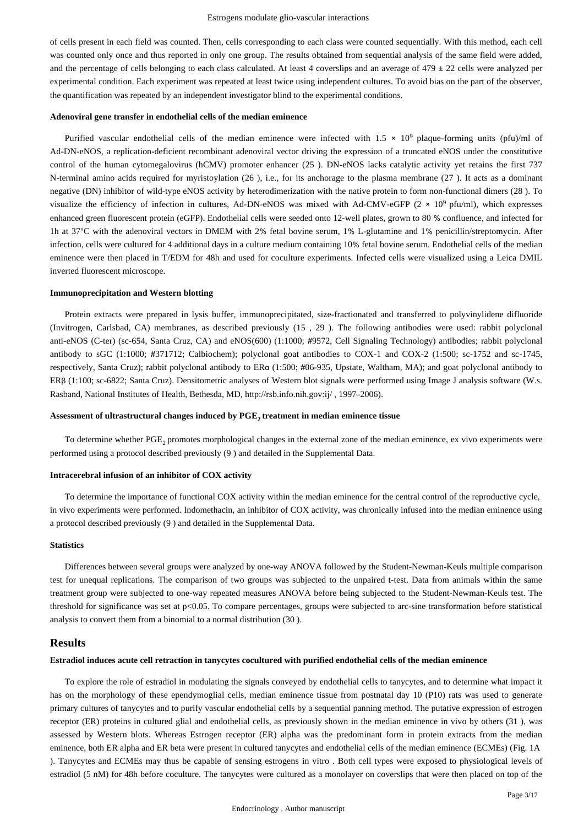of cells present in each field was counted. Then, cells corresponding to each class were counted sequentially. With this method, each cell was counted only once and thus reported in only one group. The results obtained from sequential analysis of the same field were added, and the percentage of cells belonging to each class calculated. At least 4 coverslips and an average of  $479 \pm 22$  cells were analyzed per experimental condition. Each experiment was repeated at least twice using independent cultures. To avoid bias on the part of the observer, the quantification was repeated by an independent investigator blind to the experimental conditions.

#### **Adenoviral gene transfer in endothelial cells of the median eminence**

Purified vascular endothelial cells of the median eminence were infected with  $1.5 \times 10^9$  plaque-forming units (pfu)/ml of Ad-DN-eNOS, a replication-deficient recombinant adenoviral vector driving the expression of a truncated eNOS under the constitutive control of the human cytomegalovirus (hCMV) promoter enhancer (25). DN-eNOS lacks catalytic activity yet retains the first 737 N-terminal amino acids required for myristoylation  $(26)$ , i.e., for its anchorage to the plasma membrane  $(27)$ . It acts as a dominant negative (DN) inhibitor of wild-type eNOS activity by heterodimerization with the native protein to form non-functional dimers (28). To visualize the efficiency of infection in cultures, Ad-DN-eNOS was mixed with Ad-CMV-eGFP ( $2 \times 10^9$  pfu/ml), which expresses enhanced green fluorescent protein (eGFP). Endothelial cells were seeded onto 12-well plates, grown to 80 % confluence, and infected for 1h at 37°C with the adenoviral vectors in DMEM with 2% fetal bovine serum, 1% L-glutamine and 1% penicillin/streptomycin. After infection, cells were cultured for 4 additional days in a culture medium containing 10% fetal bovine serum. Endothelial cells of the median eminence were then placed in T/EDM for 48h and used for coculture experiments. Infected cells were visualized using a Leica DMIL inverted fluorescent microscope.

#### **Immunoprecipitation and Western blotting**

Protein extracts were prepared in lysis buffer, immunoprecipitated, size-fractionated and transferred to polyvinylidene difluoride (Invitrogen, Carlsbad, CA) membranes, as described previously  $(15, 29)$ . The following antibodies were used: rabbit polyclonal anti-eNOS (C-ter) (sc-654, Santa Cruz, CA) and eNOS(600) (1:1000; #9572, Cell Signaling Technology) antibodies; rabbit polyclonal antibody to sGC (1:1000; #371712; Calbiochem); polyclonal goat antibodies to COX-1 and COX-2 (1:500; sc-1752 and sc-1745, respectively, Santa Cruz); rabbit polyclonal antibody to ERα (1:500; #06-935, Upstate, Waltham, MA); and goat polyclonal antibody to ERβ (1:100; sc-6822; Santa Cruz). Densitometric analyses of Western blot signals were performed using Image J analysis software (W.s. Rasband, National Institutes of Health, Bethesda, MD, http://rsb.info.nih.gov:ij/, 1997-2006).

## Assessment of ultrastructural changes induced by PGE<sub>2</sub> treatment in median eminence tissue

To determine whether PGE, promotes morphological changes in the external zone of the median eminence, ex vivo experiments were performed using a protocol described previously (9) and detailed in the Supplemental Data.

#### **Intracerebral infusion of an inhibitor of COX activity**

To determine the importance of functional COX activity within the median eminence for the central control of the reproductive cycle, in vivo experiments were performed. Indomethacin, an inhibitor of COX activity, was chronically infused into the median eminence using a protocol described previously (9) and detailed in the Supplemental Data.

#### **Statistics**

Differences between several groups were analyzed by one-way ANOVA followed by the Student-Newman-Keuls multiple comparison test for unequal replications. The comparison of two groups was subjected to the unpaired t-test. Data from animals within the same treatment group were subjected to one-way repeated measures ANOVA before being subjected to the Student-Newman-Keuls test. The threshold for significance was set at  $p<0.05$ . To compare percentages, groups were subjected to arc-sine transformation before statistical analysis to convert them from a binomial to a normal distribution  $(30)$ .

## **Results**

## **Estradiol induces acute cell retraction in tanycytes cocultured with purified endothelial cells of the median eminence**

To explore the role of estradiol in modulating the signals conveyed by endothelial cells to tanycytes, and to determine what impact it has on the morphology of these ependymoglial cells, median eminence tissue from postnatal day 10 (P10) rats was used to generate primary cultures of tanycytes and to purify vascular endothelial cells by a sequential panning method. The putative expression of estrogen receptor (ER) proteins in cultured glial and endothelial cells, as previously shown in the median eminence in vivo by others (31), was assessed by Western blots. Whereas Estrogen receptor (ER) alpha was the predominant form in protein extracts from the median eminence, both ER alpha and ER beta were present in cultured tanycytes and endothelial cells of the median eminence (ECMEs) (Fig. 1A ). Tanycytes and ECMEs may thus be capable of sensing estrogens in vitro. Both cell types were exposed to physiological levels of estradiol (5 nM) for 48h before coculture. The tanycytes were cultured as a monolayer on coverslips that were then placed on top of the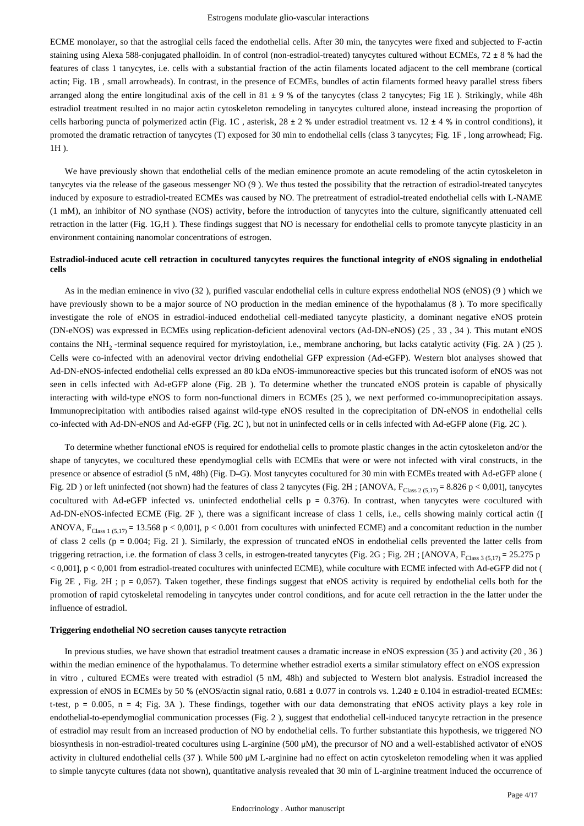ECME monolayer, so that the astroglial cells faced the endothelial cells. After 30 min, the tanycytes were fixed and subjected to F-actin staining using Alexa 588-conjugated phalloidin. In of control (non-estradiol-treated) tanycytes cultured without ECMEs,  $72 \pm 8$  % had the features of class 1 tanycytes, i.e. cells with a substantial fraction of the actin filaments located adjacent to the cell membrane (cortical actin; Fig. 1B, small arrowheads). In contrast, in the presence of ECMEs, bundles of actin filaments formed heavy parallel stress fibers arranged along the entire longitudinal axis of the cell in  $81 \pm 9$ % of the tanycytes (class 2 tanycytes; Fig 1E). Strikingly, while 48h estradiol treatment resulted in no major actin cytoskeleton remodeling in tanycytes cultured alone, instead increasing the proportion of cells harboring puncta of polymerized actin (Fig. 1C, asterisk,  $28 \pm 2$  % under estradiol treatment vs.  $12 \pm 4$  % in control conditions), it promoted the dramatic retraction of tanycytes (T) exposed for 30 min to endothelial cells (class 3 tanycytes; Fig. 1F, long arrowhead; Fig. 1H ).

We have previously shown that endothelial cells of the median eminence promote an acute remodeling of the actin cytoskeleton in tanycytes via the release of the gaseous messenger NO  $(9)$ . We thus tested the possibility that the retraction of estradiol-treated tanycytes induced by exposure to estradiol-treated ECMEs was caused by NO. The pretreatment of estradiol-treated endothelial cells with L-NAME (1 mM), an inhibitor of NO synthase (NOS) activity, before the introduction of tanycytes into the culture, significantly attenuated cell retraction in the latter (Fig. 1G,H). These findings suggest that NO is necessary for endothelial cells to promote tanycyte plasticity in an environment containing nanomolar concentrations of estrogen.

## **Estradiol-induced acute cell retraction in cocultured tanycytes requires the functional integrity of eNOS signaling in endothelial cells**

As in the median eminence in vivo (32), purified vascular endothelial cells in culture express endothelial NOS (eNOS) (9) which we have previously shown to be a major source of NO production in the median eminence of the hypothalamus (8). To more specifically investigate the role of eNOS in estradiol-induced endothelial cell-mediated tanycyte plasticity, a dominant negative eNOS protein (DN-eNOS) was expressed in ECMEs using replication-deficient adenoviral vectors (Ad-DN-eNOS) (25, 33, 34). This mutant eNOS contains the NH<sub>2</sub>-terminal sequence required for myristoylation, i.e., membrane anchoring, but lacks catalytic activity (Fig. 2A) (25). Cells were co-infected with an adenoviral vector driving endothelial GFP expression (Ad-eGFP). Western blot analyses showed that Ad-DN-eNOS-infected endothelial cells expressed an 80 kDa eNOS-immunoreactive species but this truncated isoform of eNOS was not seen in cells infected with Ad-eGFP alone (Fig. 2B). To determine whether the truncated eNOS protein is capable of physically interacting with wild-type eNOS to form non-functional dimers in ECMEs (25), we next performed co-immunoprecipitation assays. Immunoprecipitation with antibodies raised against wild-type eNOS resulted in the coprecipitation of DN-eNOS in endothelial cells co-infected with Ad-DN-eNOS and Ad-eGFP (Fig. 2C), but not in uninfected cells or in cells infected with Ad-eGFP alone (Fig. 2C).

To determine whether functional eNOS is required for endothelial cells to promote plastic changes in the actin cytoskeleton and/or the shape of tanycytes, we cocultured these ependymoglial cells with ECMEs that were or were not infected with viral constructs, in the presence or absence of estradiol (5 nM, 48h) (Fig. D–G). Most tanycytes cocultured for 30 min with ECMEs treated with Ad-eGFP alone ( Fig. 2D ) or left uninfected (not shown) had the features of class 2 tanycytes (Fig. 2H; [ANOVA,  $F_{Class\ 2/5,17)} = 8.826$  p < 0,001], tanycytes cocultured with Ad-eGFP infected vs. uninfected endothelial cells  $p = 0.376$ ). In contrast, when tanycytes were cocultured with Ad-DN-eNOS-infected ECME (Fig. 2F), there was a significant increase of class 1 cells, i.e., cells showing mainly cortical actin ([ ANOVA,  $F_{Class 1 (5.17)}$  = 13.568 p < 0,001], p < 0.001 from cocultures with uninfected ECME) and a concomitant reduction in the number of class 2 cells ( $p = 0.004$ ; Fig. 2I). Similarly, the expression of truncated eNOS in endothelial cells prevented the latter cells from triggering retraction, i.e. the formation of class 3 cells, in estrogen-treated tanycytes (Fig. 2G; Fig. 2H; [ANOVA,  $F_{Class 3 (5,17)} = 25.275$  p  $<$  0,001], p  $<$  0,001 from estradiol-treated cocultures with uninfected ECME), while coculture with ECME infected with Ad-eGFP did not ( Fig 2E, Fig. 2H; p = 0,057). Taken together, these findings suggest that eNOS activity is required by endothelial cells both for the promotion of rapid cytoskeletal remodeling in tanycytes under control conditions, and for acute cell retraction in the the latter under the influence of estradiol.

#### **Triggering endothelial NO secretion causes tanycyte retraction**

In previous studies, we have shown that estradiol treatment causes a dramatic increase in eNOS expression  $(35)$  and activity  $(20, 36)$ within the median eminence of the hypothalamus. To determine whether estradiol exerts a similar stimulatory effect on eNOS expression in vitro , cultured ECMEs were treated with estradiol (5 nM, 48h) and subjected to Western blot analysis. Estradiol increased the expression of eNOS in ECMEs by 50 % (eNOS/actin signal ratio,  $0.681 \pm 0.077$  in controls vs.  $1.240 \pm 0.104$  in estradiol-treated ECMEs: t-test,  $p = 0.005$ ,  $n = 4$ ; Fig. 3A ). These findings, together with our data demonstrating that eNOS activity plays a key role in endothelial-to-ependymoglial communication processes (Fig. 2), suggest that endothelial cell-induced tanycyte retraction in the presence of estradiol may result from an increased production of NO by endothelial cells. To further substantiate this hypothesis, we triggered NO biosynthesis in non-estradiol-treated cocultures using L-arginine (500 μM), the precursor of NO and a well-established activator of eNOS activity in clultured endothelial cells (37). While 500 μM L-arginine had no effect on actin cytoskeleton remodeling when it was applied to simple tanycyte cultures (data not shown), quantitative analysis revealed that 30 min of L-arginine treatment induced the occurrence of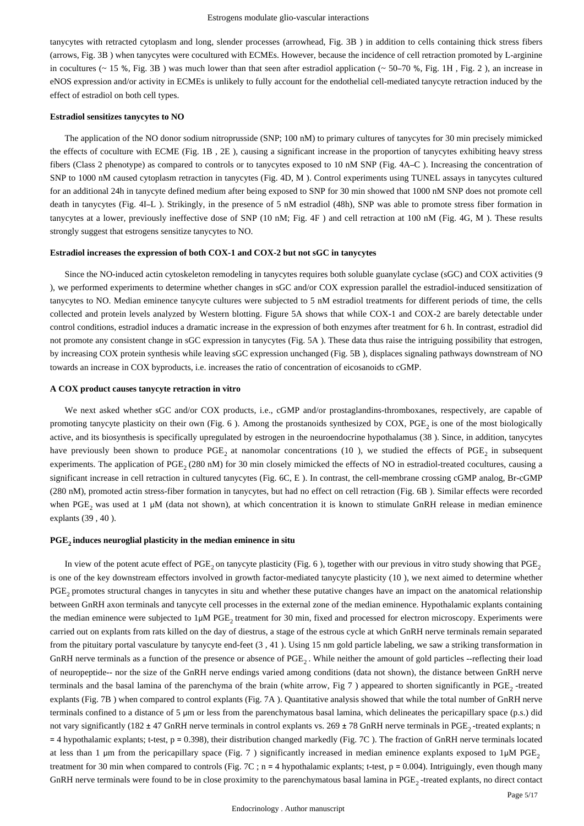tanycytes with retracted cytoplasm and long, slender processes (arrowhead, Fig. 3B) in addition to cells containing thick stress fibers (arrows, Fig. 3B) when tanycytes were cocultured with ECMEs. However, because the incidence of cell retraction promoted by L-arginine in cocultures ( $\sim$  15 %, Fig. 3B) was much lower than that seen after estradiol application ( $\sim$  50–70 %, Fig. 1H, Fig. 2), an increase in eNOS expression and/or activity in ECMEs is unlikely to fully account for the endothelial cell-mediated tanycyte retraction induced by the effect of estradiol on both cell types.

#### **Estradiol sensitizes tanycytes to NO**

The application of the NO donor sodium nitroprusside (SNP; 100 nM) to primary cultures of tanycytes for 30 min precisely mimicked the effects of coculture with ECME (Fig. 1B, 2E), causing a significant increase in the proportion of tanycytes exhibiting heavy stress fibers (Class 2 phenotype) as compared to controls or to tanycytes exposed to 10 nM SNP (Fig. 4A–C). Increasing the concentration of SNP to 1000 nM caused cytoplasm retraction in tanycytes (Fig. 4D, M). Control experiments using TUNEL assays in tanycytes cultured for an additional 24h in tanycyte defined medium after being exposed to SNP for 30 min showed that 1000 nM SNP does not promote cell death in tanycytes (Fig. 4I-L). Strikingly, in the presence of 5 nM estradiol (48h), SNP was able to promote stress fiber formation in tanycytes at a lower, previously ineffective dose of SNP (10 nM; Fig. 4F) and cell retraction at 100 nM (Fig. 4G, M). These results strongly suggest that estrogens sensitize tanycytes to NO.

## **Estradiol increases the expression of both COX-1 and COX-2 but not sGC in tanycytes**

Since the NO-induced actin cytoskeleton remodeling in tanycytes requires both soluble guanylate cyclase (sGC) and COX activities (9 ), we performed experiments to determine whether changes in sGC and/or COX expression parallel the estradiol-induced sensitization of tanycytes to NO. Median eminence tanycyte cultures were subjected to 5 nM estradiol treatments for different periods of time, the cells collected and protein levels analyzed by Western blotting. Figure 5A shows that while COX-1 and COX-2 are barely detectable under control conditions, estradiol induces a dramatic increase in the expression of both enzymes after treatment for 6 h. In contrast, estradiol did not promote any consistent change in sGC expression in tanycytes (Fig. 5A). These data thus raise the intriguing possibility that estrogen, by increasing COX protein synthesis while leaving sGC expression unchanged (Fig. 5B), displaces signaling pathways downstream of NO towards an increase in COX byproducts, i.e. increases the ratio of concentration of eicosanoids to cGMP.

#### **A COX product causes tanycyte retraction in vitro**

We next asked whether sGC and/or COX products, i.e., cGMP and/or prostaglandins-thromboxanes, respectively, are capable of promoting tanycyte plasticity on their own (Fig. 6). Among the prostanoids synthesized by COX, PGE, is one of the most biologically active, and its biosynthesis is specifically upregulated by estrogen in the neuroendocrine hypothalamus (38). Since, in addition, tanycytes have previously been shown to produce PGE, at nanomolar concentrations (10), we studied the effects of PGE, in subsequent experiments. The application of PGE<sub>2</sub> (280 nM) for 30 min closely mimicked the effects of NO in estradiol-treated cocultures, causing a significant increase in cell retraction in cultured tanycytes (Fig. 6C, E). In contrast, the cell-membrane crossing cGMP analog, Br-cGMP (280 nM), promoted actin stress-fiber formation in tanycytes, but had no effect on cell retraction (Fig. 6B). Similar effects were recorded when PGE, was used at 1  $\mu$ M (data not shown), at which concentration it is known to stimulate GnRH release in median eminence explants (39, 40).

## PGE<sub>2</sub> induces neuroglial plasticity in the median eminence in situ

In view of the potent acute effect of PGE, on tanycyte plasticity (Fig. 6), together with our previous in vitro study showing that PGE, is one of the key downstream effectors involved in growth factor-mediated tanycyte plasticity (10), we next aimed to determine whether PGE, promotes structural changes in tanycytes in situ and whether these putative changes have an impact on the anatomical relationship between GnRH axon terminals and tanycyte cell processes in the external zone of the median eminence. Hypothalamic explants containing the median eminence were subjected to 1μM PGE, treatment for 30 min, fixed and processed for electron microscopy. Experiments were carried out on explants from rats killed on the day of diestrus, a stage of the estrous cycle at which GnRH nerve terminals remain separated from the pituitary portal vasculature by tanycyte end-feet  $(3, 41)$ . Using 15 nm gold particle labeling, we saw a striking transformation in GnRH nerve terminals as a function of the presence or absence of  $PGE_2$ . While neither the amount of gold particles --reflecting their load of neuropeptide-- nor the size of the GnRH nerve endings varied among conditions (data not shown), the distance between GnRH nerve terminals and the basal lamina of the parenchyma of the brain (white arrow, Fig 7) appeared to shorten significantly in PGE<sub>2</sub> -treated explants (Fig. 7B) when compared to control explants (Fig. 7A). Quantitative analysis showed that while the total number of GnRH nerve terminals confined to a distance of 5 μm or less from the parenchymatous basal lamina, which delineates the pericapillary space (p.s.) did not vary significantly (182  $\pm$  47 GnRH nerve terminals in control explants vs. 269  $\pm$  78 GnRH nerve terminals in PGE<sub>2</sub>-treated explants; n  $=$  4 hypothalamic explants; t-test,  $p = 0.398$ ), their distribution changed markedly (Fig. 7C). The fraction of GnRH nerve terminals located at less than 1 μm from the pericapillary space (Fig. 7) significantly increased in median eminence explants exposed to 1μM PGE, treatment for 30 min when compared to controls (Fig. 7C; n = 4 hypothalamic explants; t-test, p = 0.004). Intriguingly, even though many GnRH nerve terminals were found to be in close proximity to the parenchymatous basal lamina in PGE<sub>2</sub>-treated explants, no direct contact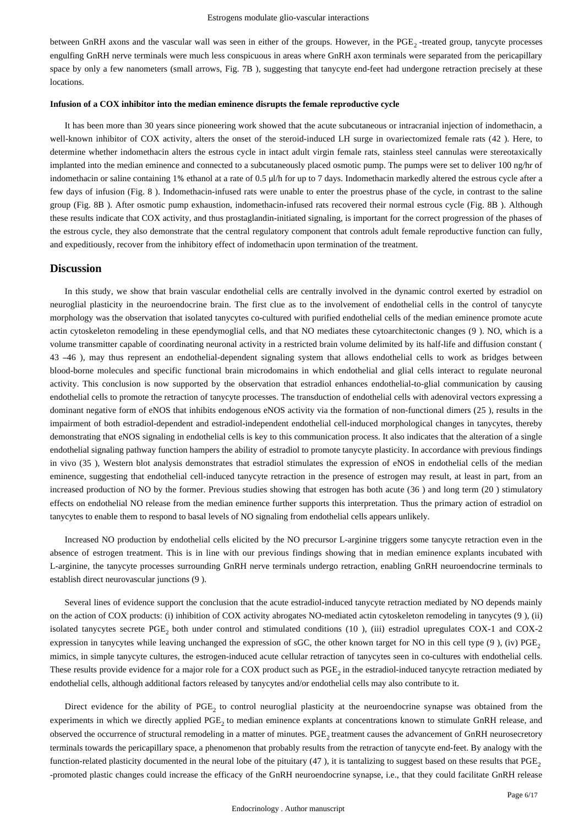between GnRH axons and the vascular wall was seen in either of the groups. However, in the  $PGE_2$ -treated group, tanycyte processes engulfing GnRH nerve terminals were much less conspicuous in areas where GnRH axon terminals were separated from the pericapillary space by only a few nanometers (small arrows, Fig. 7B), suggesting that tanycyte end-feet had undergone retraction precisely at these locations.

#### **Infusion of a COX inhibitor into the median eminence disrupts the female reproductive cycle**

It has been more than 30 years since pioneering work showed that the acute subcutaneous or intracranial injection of indomethacin, a well-known inhibitor of COX activity, alters the onset of the steroid-induced LH surge in ovariectomized female rats (42). Here, to determine whether indomethacin alters the estrous cycle in intact adult virgin female rats, stainless steel cannulas were stereotaxically implanted into the median eminence and connected to a subcutaneously placed osmotic pump. The pumps were set to deliver 100 ng/hr of indomethacin or saline containing 1% ethanol at a rate of 0.5  $\mu$ /h for up to 7 days. Indomethacin markedly altered the estrous cycle after a few days of infusion (Fig. 8). Indomethacin-infused rats were unable to enter the proestrus phase of the cycle, in contrast to the saline group (Fig. 8B). After osmotic pump exhaustion, indomethacin-infused rats recovered their normal estrous cycle (Fig. 8B). Although these results indicate that COX activity, and thus prostaglandin-initiated signaling, is important for the correct progression of the phases of the estrous cycle, they also demonstrate that the central regulatory component that controls adult female reproductive function can fully, and expeditiously, recover from the inhibitory effect of indomethacin upon termination of the treatment.

## **Discussion**

In this study, we show that brain vascular endothelial cells are centrally involved in the dynamic control exerted by estradiol on neuroglial plasticity in the neuroendocrine brain. The first clue as to the involvement of endothelial cells in the control of tanycyte morphology was the observation that isolated tanycytes co-cultured with purified endothelial cells of the median eminence promote acute actin cytoskeleton remodeling in these ependymoglial cells, and that NO mediates these cytoarchitectonic changes (9). NO, which is a volume transmitter capable of coordinating neuronal activity in a restricted brain volume delimited by its half-life and diffusion constant ( 43 –46 ), may thus represent an endothelial-dependent signaling system that allows endothelial cells to work as bridges between blood-borne molecules and specific functional brain microdomains in which endothelial and glial cells interact to regulate neuronal activity. This conclusion is now supported by the observation that estradiol enhances endothelial-to-glial communication by causing endothelial cells to promote the retraction of tanycyte processes. The transduction of endothelial cells with adenoviral vectors expressing a dominant negative form of eNOS that inhibits endogenous eNOS activity via the formation of non-functional dimers (25), results in the impairment of both estradiol-dependent and estradiol-independent endothelial cell-induced morphological changes in tanycytes, thereby demonstrating that eNOS signaling in endothelial cells is key to this communication process. It also indicates that the alteration of a single endothelial signaling pathway function hampers the ability of estradiol to promote tanycyte plasticity. In accordance with previous findings in vivo (35), Western blot analysis demonstrates that estradiol stimulates the expression of eNOS in endothelial cells of the median eminence, suggesting that endothelial cell-induced tanycyte retraction in the presence of estrogen may result, at least in part, from an increased production of NO by the former. Previous studies showing that estrogen has both acute  $(36)$  and long term (20) stimulatory effects on endothelial NO release from the median eminence further supports this interpretation. Thus the primary action of estradiol on tanycytes to enable them to respond to basal levels of NO signaling from endothelial cells appears unlikely.

Increased NO production by endothelial cells elicited by the NO precursor L-arginine triggers some tanycyte retraction even in the absence of estrogen treatment. This is in line with our previous findings showing that in median eminence explants incubated with L-arginine, the tanycyte processes surrounding GnRH nerve terminals undergo retraction, enabling GnRH neuroendocrine terminals to establish direct neurovascular junctions (9).

Several lines of evidence support the conclusion that the acute estradiol-induced tanycyte retraction mediated by NO depends mainly on the action of COX products: (i) inhibition of COX activity abrogates NO-mediated actin cytoskeleton remodeling in tanycytes (9), (ii) isolated tanycytes secrete PGE, both under control and stimulated conditions (10), (iii) estradiol upregulates COX-1 and COX-2 expression in tanycytes while leaving unchanged the expression of sGC, the other known target for NO in this cell type  $(9)$ , (iv) PGE, mimics, in simple tanycyte cultures, the estrogen-induced acute cellular retraction of tanycytes seen in co-cultures with endothelial cells. These results provide evidence for a major role for a COX product such as PGE<sub>2</sub> in the estradiol-induced tanycyte retraction mediated by endothelial cells, although additional factors released by tanycytes and/or endothelial cells may also contribute to it.

Direct evidence for the ability of PGE, to control neuroglial plasticity at the neuroendocrine synapse was obtained from the experiments in which we directly applied PGE, to median eminence explants at concentrations known to stimulate GnRH release, and observed the occurrence of structural remodeling in a matter of minutes. PGE<sub>2</sub> treatment causes the advancement of GnRH neurosecretory terminals towards the pericapillary space, a phenomenon that probably results from the retraction of tanycyte end-feet. By analogy with the function-related plasticity documented in the neural lobe of the pituitary  $(47)$ , it is tantalizing to suggest based on these results that PGE<sub>2</sub> -promoted plastic changes could increase the efficacy of the GnRH neuroendocrine synapse, i.e., that they could facilitate GnRH release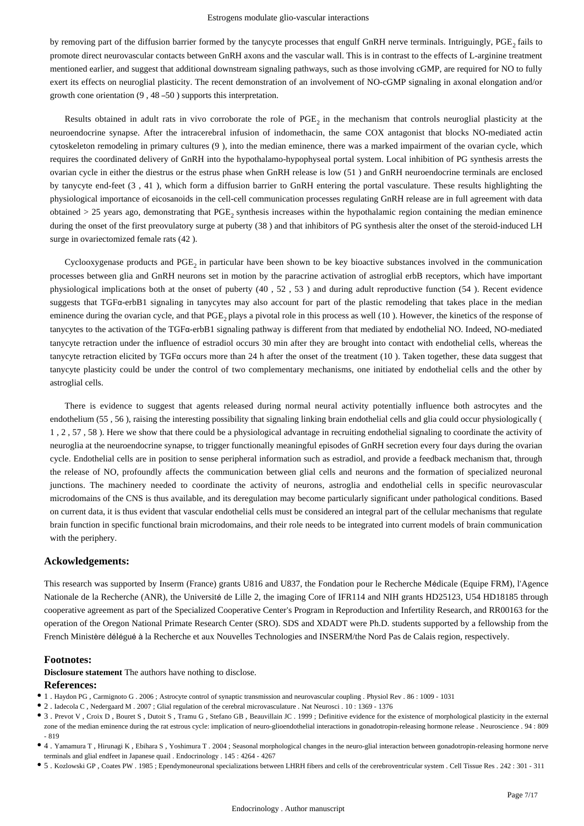by removing part of the diffusion barrier formed by the tanycyte processes that engulf GnRH nerve terminals. Intriguingly, PGE, fails to promote direct neurovascular contacts between GnRH axons and the vascular wall. This is in contrast to the effects of L-arginine treatment mentioned earlier, and suggest that additional downstream signaling pathways, such as those involving cGMP, are required for NO to fully exert its effects on neuroglial plasticity. The recent demonstration of an involvement of NO-cGMP signaling in axonal elongation and/or growth cone orientation  $(9, 48 -50)$  supports this interpretation.

Results obtained in adult rats in vivo corroborate the role of PGE, in the mechanism that controls neuroglial plasticity at the neuroendocrine synapse. After the intracerebral infusion of indomethacin, the same COX antagonist that blocks NO-mediated actin cytoskeleton remodeling in primary cultures (9), into the median eminence, there was a marked impairment of the ovarian cycle, which requires the coordinated delivery of GnRH into the hypothalamo-hypophyseal portal system. Local inhibition of PG synthesis arrests the ovarian cycle in either the diestrus or the estrus phase when GnRH release is low  $(51)$  and GnRH neuroendocrine terminals are enclosed by tanycyte end-feet (3,41), which form a diffusion barrier to GnRH entering the portal vasculature. These results highlighting the physiological importance of eicosanoids in the cell-cell communication processes regulating GnRH release are in full agreement with data obtained  $> 25$  years ago, demonstrating that PGE, synthesis increases within the hypothalamic region containing the median eminence during the onset of the first preovulatory surge at puberty (38) and that inhibitors of PG synthesis alter the onset of the steroid-induced LH surge in ovariectomized female rats (42).

Cyclooxygenase products and PGE<sub>2</sub> in particular have been shown to be key bioactive substances involved in the communication processes between glia and GnRH neurons set in motion by the paracrine activation of astroglial erbB receptors, which have important physiological implications both at the onset of puberty  $(40, 52, 53)$  and during adult reproductive function  $(54)$ . Recent evidence suggests that TGFα-erbB1 signaling in tanycytes may also account for part of the plastic remodeling that takes place in the median eminence during the ovarian cycle, and that PGE, plays a pivotal role in this process as well (10). However, the kinetics of the response of tanycytes to the activation of the TGFα-erbB1 signaling pathway is different from that mediated by endothelial NO. Indeed, NO-mediated tanycyte retraction under the influence of estradiol occurs 30 min after they are brought into contact with endothelial cells, whereas the tanycyte retraction elicited by TGF $\alpha$  occurs more than 24 h after the onset of the treatment (10). Taken together, these data suggest that tanycyte plasticity could be under the control of two complementary mechanisms, one initiated by endothelial cells and the other by astroglial cells.

There is evidence to suggest that agents released during normal neural activity potentially influence both astrocytes and the endothelium (55, 56), raising the interesting possibility that signaling linking brain endothelial cells and glia could occur physiologically ( 1, 2, 57, 58). Here we show that there could be a physiological advantage in recruiting endothelial signaling to coordinate the activity of neuroglia at the neuroendocrine synapse, to trigger functionally meaningful episodes of GnRH secretion every four days during the ovarian cycle. Endothelial cells are in position to sense peripheral information such as estradiol, and provide a feedback mechanism that, through the release of NO, profoundly affects the communication between glial cells and neurons and the formation of specialized neuronal junctions. The machinery needed to coordinate the activity of neurons, astroglia and endothelial cells in specific neurovascular microdomains of the CNS is thus available, and its deregulation may become particularly significant under pathological conditions. Based on current data, it is thus evident that vascular endothelial cells must be considered an integral part of the cellular mechanisms that regulate brain function in specific functional brain microdomains, and their role needs to be integrated into current models of brain communication with the periphery.

#### **Ackowledgements:**

This research was supported by Inserm (France) grants U816 and U837, the Fondation pour le Recherche Médicale (Equipe FRM), l'Agence Nationale de la Recherche (ANR), the Université de Lille 2, the imaging Core of IFR114 and NIH grants HD25123, U54 HD18185 through cooperative agreement as part of the Specialized Cooperative Center's Program in Reproduction and Infertility Research, and RR00163 for the operation of the Oregon National Primate Research Center (SRO). SDS and XDADT were Ph.D. students supported by a fellowship from the French Ministère délégué à la Recherche et aux Nouvelles Technologies and INSERM/the Nord Pas de Calais region, respectively.

#### **Footnotes:**

**Disclosure statement** The authors have nothing to disclose.

#### **References:**

- 1 . Haydon PG , Carmignoto G . 2006 ; Astrocyte control of synaptic transmission and neurovascular coupling . Physiol Rev . 86 : 1009 1031
- 2 . Iadecola C , Nedergaard M . 2007 ; Glial regulation of the cerebral microvasculature . Nat Neurosci . 10 : 1369 1376
- 3. Prevot V, Croix D, Bouret S, Dutoit S, Tramu G, Stefano GB, Beauvillain JC, 1999; Definitive evidence for the existence of morphological plasticity in the external zone of the median eminence during the rat estrous cycle: implication of neuro-glioendothelial interactions in gonadotropin-releasing hormone release . Neuroscience . 94 : 809 - 819
- 4 . Yamamura T , Hirunagi K , Ebihara S , Yoshimura T . 2004 ; Seasonal morphological changes in the neuro- glial interaction between gonadotropin-releasing hormone nerve terminals and glial endfeet in Japanese quail . Endocrinology . 145 : 4264 - 4267
- 5 . Kozlowski GP , Coates PW . 1985 ; Ependymoneuronal specializations between LHRH fibers and cells of the cerebroventricular system . Cell Tissue Res . 242 : 301 311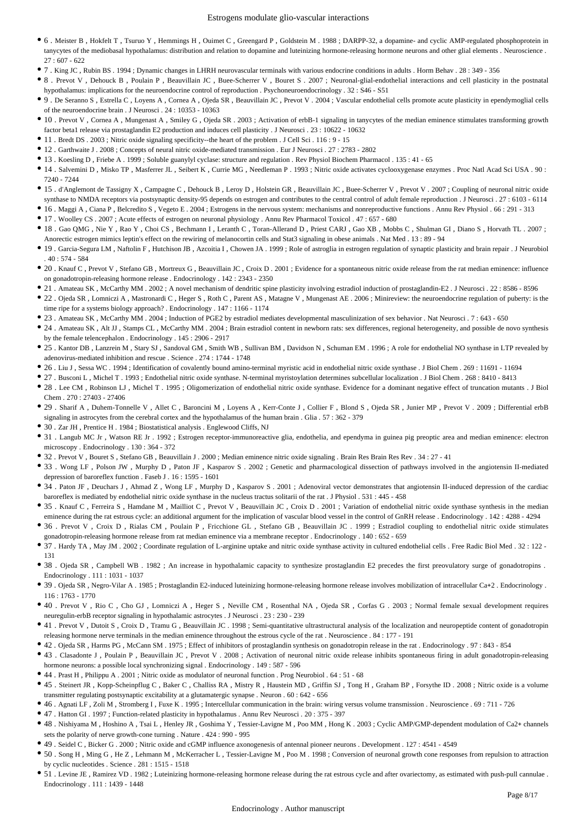- $\bullet$  6. Meister B , Hokfelt T , Tsuruo Y , Hemmings H , Ouimet C , Greengard P , Goldstein M . 1988 ; DARPP-32, a dopamine- and cyclic AMP-regulated phosphoprotein in tanycytes of the mediobasal hypothalamus: distribution and relation to dopamine and luteinizing hormone-releasing hormone neurons and other glial elements . Neuroscience . 27 : 607 - 622
- 7 . King JC , Rubin BS . 1994 ; Dynamic changes in LHRH neurovascular terminals with various endocrine conditions in adults . Horm Behav . 28 : 349 356
- 8 . Prevot V , Dehouck B , Poulain P , Beauvillain JC , Buee-Scherrer V , Bouret S . 2007 ; Neuronal-glial-endothelial interactions and cell plasticity in the postnatal hypothalamus: implications for the neuroendocrine control of reproduction . Psychoneuroendocrinology . 32 : S46 - S51
- 9 . De Seranno S , Estrella C , Loyens A , Cornea A , Ojeda SR , Beauvillain JC , Prevot V . 2004 ; Vascular endothelial cells promote acute pla sticity in ependymoglial cells of the neuroendocrine brain . J Neurosci . 24 : 10353 - 10363
- $\bullet$  10 . Prevot V, Cornea A, Mungenast A, Smiley G, Ojeda SR . 2003; Activation of erbB-1 signaling in tanycytes of the median eminence stimulates transforming growth factor beta1 release via prostaglandin E2 production and induces cell plasticity . J Neurosci . 23 : 10622 - 10632
- 11 . Bredt DS . 2003 ; Nitric oxide signaling specificity--the heart of the problem . J Cell Sci . 116 : 9 15
- 12 . Garthwaite J . 2008 ; Concepts of neural nitric oxide-mediated transmission . Eur J Neurosci . 27 : 2783 2802
- 13 . Koesling D , Friebe A . 1999 ; Soluble guanylyl cyclase: structure and regulation . Rev Physiol Biochem Pharmacol . 135 : 41 65
- 14 . Salvemini D , Misko TP , Masferrer JL , Seibert K , Currie MG , Needleman P . 1993 ; Nitric oxide activates cyclooxygenase enzyme s . Proc Natl Acad Sci USA . 90 : 7240 - 7244
- $\bullet$  15 . d'Anglemont de Tassigny X, Campagne C, Dehouck B, Leroy D, Holstein GR, Beauvillain JC, Buee-Scherrer V, Prevot V. 2007; Coupling of neuronal nitric oxide
- synthase to NMDA receptors via postsynaptic density-95 depends on estrogen and contributes to the central control of adult female reproduction . J Neurosci . 27 : 6103 6114
- 16 . Maggi A , Ciana P , Belcredito S , Vegeto E . 2004 ; Estrogens in the nervous system: mechanisms and nonreproductive functions . Annu Rev Physiol . 66 : 291 313
- 17 . Woolley CS . 2007 ; Acute effects of estrogen on neuronal physiology . Annu Rev Pharmacol Toxicol . 47 : 657 680
- 18 . Gao QMG , Nie Y , Rao Y , Choi CS , Bechmann I , Leranth C , Toran-Allerand D , Priest CARJ , Gao XB , Mobbs C , Shulman GI , Diano S , Horvath TL . 2007 ; Anorectic estrogen mimics leptin's effect on the rewiring of melanocortin cells and Stat3 signaling in obese animals . Nat Med . 13 : 89 - 94
- 19 . Garcia-Segura LM , Naftolin F , Hutchison JB , Azcoitia I , Chowen JA . 1999 ; Role of astroglia in estrogen regulation of synaptic plasticity and brain repair . J Neurobiol  $40 \cdot 574 - 584$
- 20. Knauf C, Prevot V, Stefano GB, Mortreux G, Beauvillain JC, Croix D. 2001; Evidence for a spontaneous nitric oxide release from the rat median eminence: influence on gonadotropin-releasing hormone release . Endocrinology . 142 : 2343 - 2350
- 21 . Amateau SK , McCarthy MM . 2002 ; A novel mechanism of dendritic spine plasticity involving estradiol induction of prostaglandin-E2 . J Neurosci . 22 : 8586 8596
- 22 . Ojeda SR , Lomniczi A , Mastronardi C , Heger S , Roth C , Parent AS , Matagne V , Mungenast AE . 2006 ; Minireview: the neuroendocrine regulation of puberty: is the time ripe for a systems biology approach? . Endocrinology . 147 : 1166 - 1174
- 23 . Amateau SK , McCarthy MM . 2004 ; Induction of PGE2 by estradiol mediates developmental masculinization of sex behavior . Nat Neurosci . 7 : 643 650
- 24 . Amateau SK , Alt JJ , Stamps CL , McCarthy MM . 2004 ; Brain estradiol content in newborn rats: sex differences, regional heterogeneity, and possible de novo synthesis by the female telencephalon . Endocrinology . 145 : 2906 - 2917
- $\bullet$  25 . Kantor DB , Lanzrein M , Stary SJ , Sandoval GM , Smith WB , Sullivan BM , Davidson N , Schuman EM . 1996 ; A role for endothelial NO synthase in LTP revealed by adenovirus-mediated inhibition and rescue . Science . 274 : 1744 - 1748
- 26 . Liu J , Sessa WC . 1994 ; Identification of covalently bound amino-terminal myristic acid in endothelial nitric oxide synthase . J Biol Chem . 269 : 11691 11694
- 27 . Busconi L , Michel T . 1993 ; Endothelial nitric oxide synthase. N-terminal myristoylation determines subcellular localization . J Biol Chem . 268 : 8410 8413
- 28 . Lee CM , Robinson LJ , Michel T . 1995 ; Oligomerization of endothelial nitric oxide synthase. Evidence for a dominant negative effect of truncation mutants . J Biol  $Chem$   $270 \cdot 27403 - 27406$
- 29 . Sharif A , Duhem-Tonnelle V , Allet C , Baroncini M , Loyens A , Kerr-Conte J , Collier F , Blond S , Ojeda SR , Junier MP , Prevot V . 2009 ; Differential erbB signaling in astrocytes from the cerebral cortex and the hypothalamus of the human brain . Glia . 57 : 362 - 379
- 30 . Zar JH , Prentice H . 1984 ; Biostatistical analysis . Englewood Cliffs, NJ
- 31 . Langub MC Jr , Watson RE Jr . 1992 ; Estrogen receptor-immunoreactive glia, endothelia, and ependyma in guinea pig preoptic area and median eminence: electron microscopy . Endocrinology . 130 : 364 - 372
- 32 . Prevot V , Bouret S , Stefano GB , Beauvillain J . 2000 ; Median eminence nitric oxide signaling . Brain Res Brain Res Rev . 34 : 27 41
- 33 . Wong LF, Polson JW, Murphy D, Paton JF, Kasparov S. 2002; Genetic and pharmacological dissection of pathways involved in the angiotensin II-mediated depression of baroreflex function . Faseb J . 16 : 1595 - 1601
- 34 . Paton JF , Deuchars J , Ahmad Z , Wong LF , Murphy D , Kasparov S . 2001 ; Adenoviral vector demonstrates that angiotensin II-induced depression of the cardiac baroreflex is mediated by endothelial nitric oxide synthase in the nucleus tractus solitarii of the rat . J Physiol . 531 : 445 - 458
- 35 . Knauf C, Ferreira S, Hamdane M, Mailliot C, Prevot V, Beauvillain JC, Croix D. 2001; Variation of endothelial nitric oxide synthesis sin the median eminence during the rat estrous cycle: an additional argument for the implication of vascular blood vessel in the control of GnRH release . Endocrinology . 142 : 4288 - 4294
- 36 . Prevot V, Croix D, Rialas CM, Poulain P, Fricchione GL, Stefano GB, Beauvillain JC . 1999; Estradiol coupling to endothelial nitric oxide stimulates gonadotropin-releasing hormone release from rat median eminence via a membrane receptor . Endocrinology . 140 : 652 - 659
- 37 . Hardy TA , May JM . 2002 ; Coordinate regulation of L-arginine uptake and nitric oxide synthase activity in cultured endothelial cells . Free Radic Biol Med . 32 : 122 131
- 38 . Ojeda SR , Campbell WB . 1982 ; An increase in hypothalamic capacity to synthesize prostaglandin E2 precedes the first preovulatory surge of gonadotropins . Endocrinology . 111 : 1031 - 1037
- 39 . Ojeda SR , Negro-Vilar A . 1985 ; Prostaglandin E2-induced luteinizing hormone-releasing hormone release involves mobilization of intracellular Ca+2 . Endocrinology . 116 : 1763 - 1770
- 40 . Prevot V , Rio C , Cho GJ , Lomniczi A , Heger S , Neville CM , Rosenthal NA , Ojeda SR , Corfas G . 2003 ; Normal female sexual development requires neuregulin-erbB receptor signaling in hypothalamic astrocytes . J Neurosci . 23 : 230 - 239
- 41 . Prevot V , Dutoit S , Croix D , Tramu G , Beauvillain JC . 1998 ; Semi-quantitative ultrastructural analysis o f the localization and neuropeptide content of gonadotropin releasing hormone nerve terminals in the median eminence throughout the estrous cycle of the rat . Neuroscience . 84 : 177 - 191
- 42 . Ojeda SR , Harms PG , McCann SM . 1975 ; Effect of inhibitors of prostaglandin synthesis on gonadotropin release in the rat . Endocrinology . 97 : 843 854
- 43 . Clasadonte J , Poulain P , Beauvillain JC , Prevot V . 2008 ; Activation of neuronal nitric oxide release inhibits spontaneous firing in adult gonadotropin-releasing hormone neurons: a possible local synchronizing signal . Endocrinology . 149 : 587 - 596
- 44 . Prast H , Philippu A . 2001 ; Nitric oxide as modulator of neuronal function . Prog Neurobiol . 64 : 51 68
- 45 . Steinert JR , Kopp-Scheinpflug C , Baker C , Challiss RA , Mistry R , Haustein MD , Griffin SJ , Tong H , Graham BP , Forsythe ID . 2008 ; Nitric oxide is a volume transmitter regulating postsynaptic excitability at a glutamatergic synapse . Neuron . 60 : 642 - 656
- 46 . Agnati LF , Zoli M , Stromberg I , Fuxe K . 1995 ; Intercellular communication in the brain: wiring versus volume transmission . Neuroscience . 69 : 711 726
- 47 . Hatton GI . 1997 ; Function-related plasticity in hypothalamus . Annu Rev Neurosci . 20 : 375 397
- 48 . Nishiyama M , Hoshino A , Tsai L , Henley JR , Goshima Y , Tessier-Lavigne M , Poo MM , Hong K . 2003 ; Cyclic AMP/GMP-dependent modulation of Ca2+ channels sets the polarity of nerve growth-cone turning . Nature . 424 : 990 - 995
- 49 . Seidel C , Bicker G . 2000 ; Nitric oxide and cGMP influence axonogenesis of antennal pioneer neurons . Development . 127 : 4541 4549
- 50 . Song H , Ming G , He Z , Lehmann M , McKerracher L , Tessier-Lavigne M , Poo M . 1998 ; Conversion of neuronal growth cone responses from repulsion to attraction by cyclic nucleotides . Science . 281 : 1515 - 1518
- 51 . Levine JE , Ramirez VD . 1982 ; Luteinizing hormone-releasing hormone release during the rat estrous cycle and after ovariectomy, as estimated with push-pull cannulae . Endocrinology . 111 : 1439 - 1448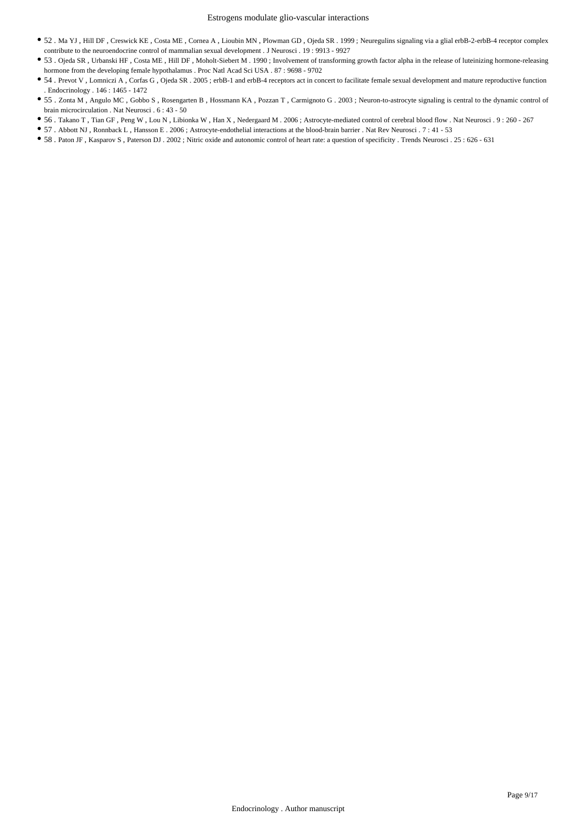- 52 . Ma YJ , Hill DF , Creswick KE , Costa ME , Cornea A , Lioubin MN , Plowman GD , Ojeda SR . 1999 ; Neuregulins signaling via a glial erbB-2-erbB-4 receptor complex contribute to the neuroendocrine control of mammalian sexual development . J Neurosci . 19 : 9913 - 9927
- 53 . Ojeda SR, Urbanski HF, Costa ME, Hill DF, Moholt-Siebert M . 1990; Involvement of transforming growth factor alpha in the release of luteinizing hormone-releasing hormone from the developing female hypothalamus . Proc Natl Acad Sci USA . 87 : 9698 - 9702
- 54 . Prevot V, Lomniczi A, Corfas G, Ojeda SR . 2005; erbB-1 and erbB-4 receptors act in concert to facilitate female sexual development and mature reproductive function . Endocrinology . 146 : 1465 - 1472
- 55 . Zonta M , Angulo MC , Gobbo S , Rosengarten B , Hossmann KA , Pozzan T , Carmignoto G . 2003 ; Neuron-to-astrocyte signaling is central to the dynamic control of brain microcirculation . Nat Neurosci . 6 : 43 - 50
- 56 . Takano T , Tian GF , Peng W , Lou N , Libionka W , Han X , Nedergaard M . 2006 ; Astrocyte-mediated control of cerebral blood flow . Nat Neurosci . 9 : 260 267
- 57 . Abbott NJ , Ronnback L , Hansson E . 2006 ; Astrocyte-endothelial interactions at the blood-brain barrier . Nat Rev Neurosci . 7 : 41 53
- 58 . Paton JF , Kasparov S , Paterson DJ . 2002 ; Nitric oxide and autonomic control of heart rate: a question of specificity . Trends Neurosci . 25 : 626 631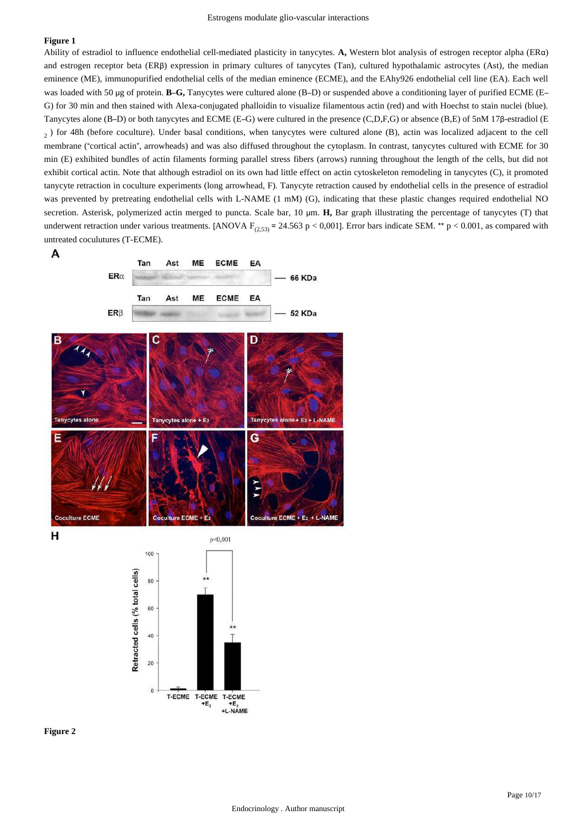Ability of estradiol to influence endothelial cell-mediated plasticity in tanycytes. A, Western blot analysis of estrogen receptor alpha (ERα) and estrogen receptor beta (ERβ) expression in primary cultures of tanycytes (Tan), cultured hypothalamic astrocytes (Ast), the median eminence (ME), immunopurified endothelial cells of the median eminence (ECME), and the EAhy926 endothelial cell line (EA). Each well was loaded with 50 μg of protein. **B-G**, Tanycytes were cultured alone (B–D) or suspended above a conditioning layer of purified ECME (E– G) for 30 min and then stained with Alexa-conjugated phalloidin to visualize filamentous actin (red) and with Hoechst to stain nuclei (blue). Tanycytes alone (B–D) or both tanycytes and ECME (E–G) were cultured in the presence (C,D,F,G) or absence (B,E) of 5nM 17β-estradiol (E ) for 48h (before coculture). Under basal conditions, when tanycytes were cultured alone (B), actin was localized adjacent to the cell <sup>2</sup> membrane ("cortical actin", arrowheads) and was also diffused throughout the cytoplasm. In contrast, tanycytes cultured with ECME for 30 min (E) exhibited bundles of actin filaments forming parallel stress fibers (arrows) running throughout the length of the cells, but did not exhibit cortical actin. Note that although estradiol on its own had little effect on actin cytoskeleton remodeling in tanycytes (C), it promoted tanycyte retraction in coculture experiments (long arrowhead, F). Tanycyte retraction caused by endothelial cells in the presence of estradiol was prevented by pretreating endothelial cells with L-NAME (1 mM) (G), indicating that these plastic changes required endothelial NO secretion. Asterisk, polymerized actin merged to puncta. Scale bar, 10 μm. H, Bar graph illustrating the percentage of tanycytes (T) that underwent retraction under various treatments. [ANOVA  $F_{(2,53)}$  = 24.563 p < 0,001]. Error bars indicate SEM. \*\* p < 0.001, as compared with untreated coculutures (T-ECME).



н



**Figure 2**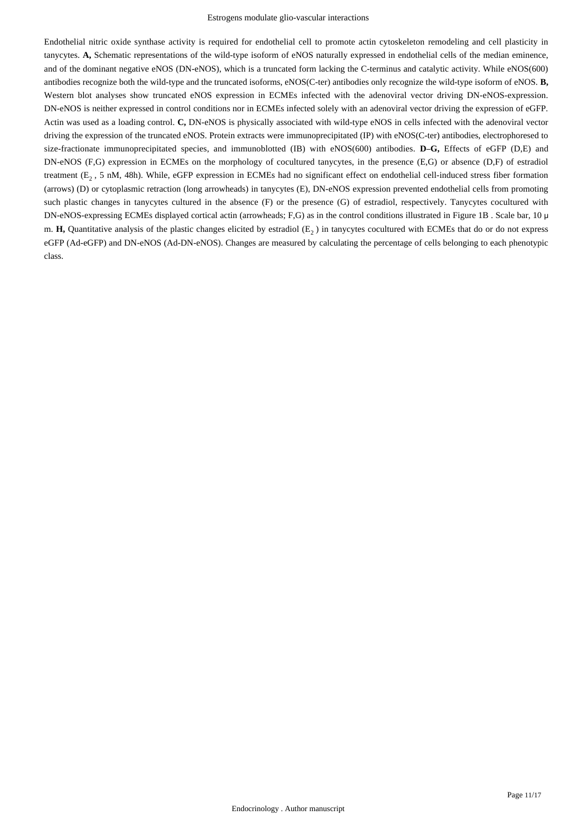#### Estrogens modulate glio-vascular interactions

Endothelial nitric oxide synthase activity is required for endothelial cell to promote actin cytoskeleton remodeling and cell plasticity in tanycytes. A. Schematic representations of the wild-type isoform of eNOS naturally expressed in endothelial cells of the median eminence. and of the dominant negative eNOS (DN-eNOS), which is a truncated form lacking the C-terminus and catalytic activity. While eNOS(600) antibodies recognize both the wild-type and the truncated isoforms, eNOS(C-ter) antibodies only recognize the wild-type isoform of eNOS. **B,** Western blot analyses show truncated eNOS expression in ECMEs infected with the adenoviral vector driving DN-eNOS-expression. DN-eNOS is neither expressed in control conditions nor in ECMEs infected solely with an adenoviral vector driving the expression of eGFP. Actin was used as a loading control. C, DN-eNOS is physically associated with wild-type eNOS in cells infected with the adenoviral vector driving the expression of the truncated eNOS. Protein extracts were immunoprecipitated (IP) with eNOS(C-ter) antibodies, electrophoresed to size-fractionate immunoprecipitated species, and immunoblotted (IB) with eNOS(600) antibodies. **D-G**, Effects of eGFP (D,E) and DN-eNOS (F,G) expression in ECMEs on the morphology of cocultured tanycytes, in the presence (E,G) or absence (D,F) of estradiol treatment  $(E_2, 5 \text{ nM}, 48\text{h})$ . While, eGFP expression in ECMEs had no significant effect on endothelial cell-induced stress fiber formation (arrows) (D) or cytoplasmic retraction (long arrowheads) in tanycytes (E), DN-eNOS expression prevented endothelial cells from promoting such plastic changes in tanycytes cultured in the absence (F) or the presence (G) of estradiol, respectively. Tanycytes cocultured with DN-eNOS-expressing ECMEs displayed cortical actin (arrowheads; F,G) as in the control conditions illustrated in Figure 1B. Scale bar, 10 μ m. H, Quantitative analysis of the plastic changes elicited by estradiol  $(E_2)$  in tanycytes cocultured with ECMEs that do or do not express eGFP (Ad-eGFP) and DN-eNOS (Ad-DN-eNOS). Changes are measured by calculating the percentage of cells belonging to each phenotypic class.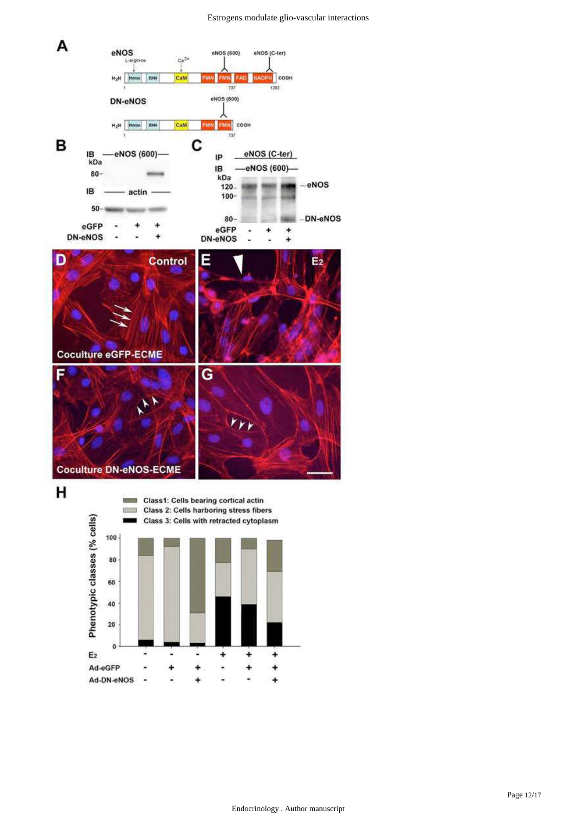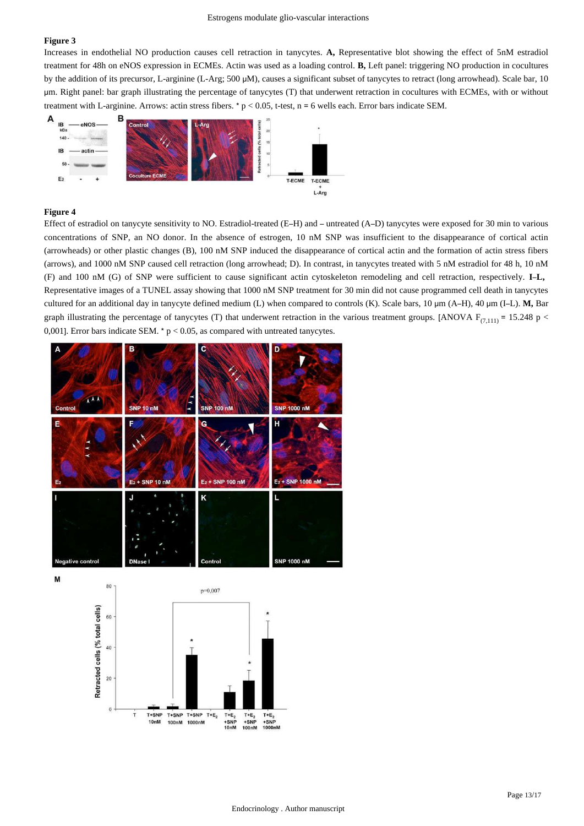Increases in endothelial NO production causes cell retraction in tanycytes. A, Representative blot showing the effect of 5nM estradiol treatment for 48h on eNOS expression in ECMEs. Actin was used as a loading control. **B**, Left panel: triggering NO production in cocultures by the addition of its precursor, L-arginine (L-Arg; 500 μM), causes a significant subset of tanycytes to retract (long arrowhead). Scale bar, 10 μm. Right panel: bar graph illustrating the percentage of tanycytes (T) that underwent retraction in cocultures with ECMEs, with or without treatment with L-arginine. Arrows: actin stress fibers. \*  $p < 0.05$ , t-test, n = 6 wells each. Error bars indicate SEM.



## **Figure 4**

Effect of estradiol on tanycyte sensitivity to NO. Estradiol-treated (E-H) and – untreated (A–D) tanycytes were exposed for 30 min to various concentrations of SNP, an NO donor. In the absence of estrogen, 10 nM SNP was insufficient to the disappearance of cortical actin (arrowheads) or other plastic changes (B), 100 nM SNP induced the disappearance of cortical actin and the formation of actin stress fibers (arrows), and 1000 nM SNP caused cell retraction (long arrowhead; D). In contrast, in tanycytes treated with 5 nM estradiol for 48 h, 10 nM (F) and 100 nM (G) of SNP were sufficient to cause significant actin cytoskeleton remodeling and cell retraction, respectively. **I L,** – Representative images of a TUNEL assay showing that 1000 nM SNP treatment for 30 min did not cause programmed cell death in tanycytes cultured for an additional day in tanycyte defined medium (L) when compared to controls (K). Scale bars, 10 µm (A-H), 40 µm (I-L). M, Bar graph illustrating the percentage of tanycytes (T) that underwent retraction in the various treatment groups. [ANOVA  $F_{(7,111)} = 15.248$  p < 0,001]. Error bars indicate SEM. \*  $p < 0.05$ , as compared with untreated tanycytes.



M

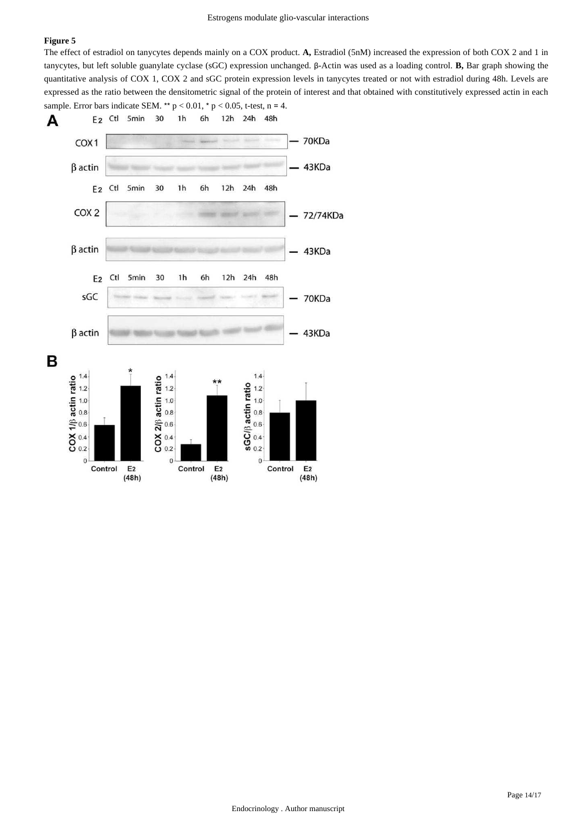The effect of estradiol on tanycytes depends mainly on a COX product. A, Estradiol (5nM) increased the expression of both COX 2 and 1 in tanycytes, but left soluble guanylate cyclase (sGC) expression unchanged. β-Actin was used as a loading control. **B**, Bar graph showing the quantitative analysis of COX 1, COX 2 and sGC protein expression levels in tanycytes treated or not with estradiol during 48h. Levels are expressed as the ratio between the densitometric signal of the protein of interest and that obtained with constitutively expressed actin in each sample. Error bars indicate SEM. \*\*  $p < 0.01$ , \*  $p < 0.05$ , t-test, n = 4.

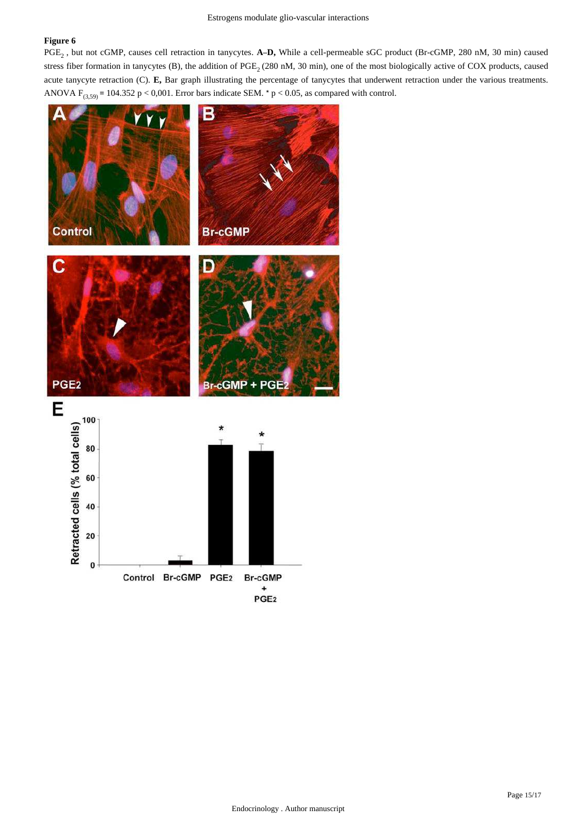PGE<sub>2</sub>, but not cGMP, causes cell retraction in tanycytes. A-D, While a cell-permeable sGC product (Br-cGMP, 280 nM, 30 min) caused stress fiber formation in tanycytes (B), the addition of  $PGE_2$  (280 nM, 30 min), one of the most biologically active of COX products, caused acute tanycyte retraction (C). E, Bar graph illustrating the percentage of tanycytes that underwent retraction under the various treatments. ANOVA  $F_{(3,59)}$  = 104.352 p < 0,001. Error bars indicate SEM. \* p < 0.05, as compared with control.

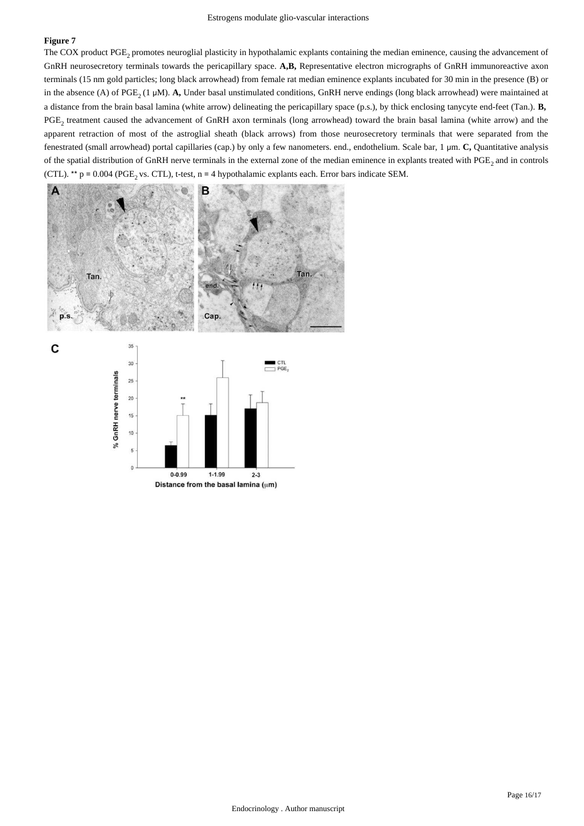C

The COX product PGE, promotes neuroglial plasticity in hypothalamic explants containing the median eminence, causing the advancement of GnRH neurosecretory terminals towards the pericapillary space. A,B, Representative electron micrographs of GnRH immunoreactive axon terminals (15 nm gold particles; long black arrowhead) from female rat median eminence explants incubated for 30 min in the presence (B) or in the absence (A) of PGE<sub>2</sub> (1 µM). A, Under basal unstimulated conditions, GnRH nerve endings (long black arrowhead) were maintained at a distance from the brain basal lamina (white arrow) delineating the pericapillary space (p.s.), by thick enclosing tanycyte end-feet (Tan.). **B,**  PGE, treatment caused the advancement of GnRH axon terminals (long arrowhead) toward the brain basal lamina (white arrow) and the apparent retraction of most of the astroglial sheath (black arrows) from those neurosecretory terminals that were separated from the fenestrated (small arrowhead) portal capillaries (cap.) by only a few nanometers. end., endothelium. Scale bar, 1 μm. C, Quantitative analysis of the spatial distribution of GnRH nerve terminals in the external zone of the median eminence in explants treated with PGE, and in controls (CTL). \*\*  $p = 0.004$  (PGE<sub>2</sub> vs. CTL), t-test, n = 4 hypothalamic explants each. Error bars indicate SEM.